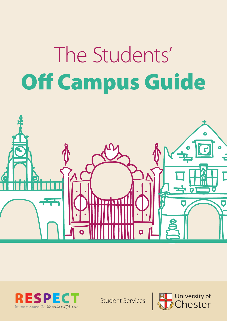# The Students' Off Campus Guide





Student Services

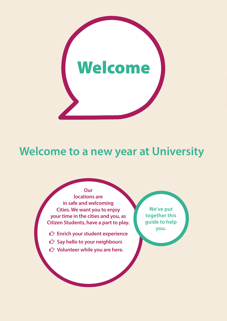

### **Welcome to a new year at University**

#### **Our locations are in safe and welcoming Cities. We want you to enjoy your time in the cities and you, as Citizen Students, have a part to play.**

- **you.** ¤ **Enrich your student experience**
- ¤ **Say hello to your neighbours**
- **■** Volunteer while you are here.

**We've put together this guide to help**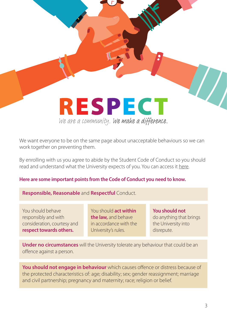### **RESPECT** We are a community. We make a difference.

We want everyone to be on the same page about unacceptable behaviours so we can work together on preventing them.

By enrolling with us you agree to abide by the Student Code of Conduct so you should read and understand what the University expects of you. You can access it [here.](https://portal1.chester.ac.uk/proctor/Pages/student-code-of-conduct.aspx )

#### **Here are some important points from the Code of Conduct you need to know.**

#### **Responsible, Reasonable** and **Respectful** Conduct.

You should behave responsibly and with consideration, courtesy and **respect towards others.**

You should **act within the law,** and behave in accordance with the University's rules.

**You should not** do anything that brings the University into disrepute.

**Under no circumstances** will the University tolerate any behaviour that could be an offence against a person.

**You should not engage in behaviour** which causes offence or distress because of the protected characteristics of: age; disability; sex; gender reassignment; marriage and civil partnership; pregnancy and maternity; race; religion or belief.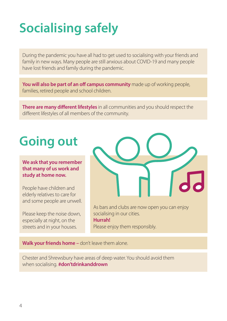# **Socialising safely**

During the pandemic you have all had to get used to socialising with your friends and family in new ways. Many people are still anxious about COVID-19 and many people have lost friends and family during the pandemic.

**You will also be part of an off campus community** made up of working people, families, retired people and school children.

**There are many different lifestyles** in all communities and you should respect the different lifestyles of all members of the community.

### **Going out**

**We ask that you remember that many of us work and study at home now.** 

People have children and elderly relatives to care for and some people are unwell.

Please keep the noise down, especially at night, on the streets and in your houses.



As bars and clubs are now open you can enjoy socialising in our cities. **Hurrah!** Please enjoy them responsibly.

**Walk your friends home –** don't leave them alone.

Chester and Shrewsbury have areas of deep water. You should avoid them when socialising. **#don'tdrinkanddrown**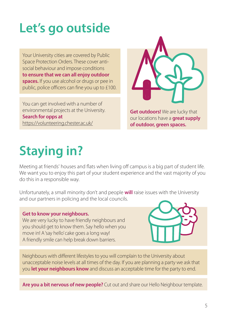# **Let's go outside**

Your University cities are covered by Public Space Protection Orders. These cover antisocial behaviour and impose conditions **to ensure that we can all enjoy outdoor spaces.** If you use alcohol or drugs or pee in public, police officers can fine you up to £100.

You can get involved with a number of environmental projects at the University. **Search for opps at** <https://volunteering.chester.ac.uk/>



**Get outdoors!** We are lucky that our locations have a **great supply of outdoor, green spaces.**

## **Staying in?**

Meeting at friends' houses and flats when living off campus is a big part of student life. We want you to enjoy this part of your student experience and the vast majority of you do this in a responsible way.

Unfortunately, a small minority don't and people **will** raise issues with the University and our partners in policing and the local councils.

#### **Get to know your neighbours.**

We are very lucky to have friendly neighbours and you should get to know them. Say hello when you move in! A 'say hello' cake goes a long way! A friendly smile can help break down barriers.



Neighbours with different lifestyles to you will complain to the University about unacceptable noise levels at all times of the day. If you are planning a party we ask that you **let your neighbours know** and discuss an acceptable time for the party to end.

**Are you a bit nervous of new people?** Cut out and share our Hello Neighbour template.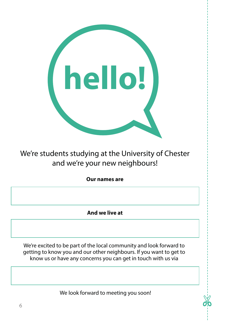

### We're students studying at the University of Chester and we're your new neighbours!

**Our names are**

**And we live at**

We're excited to be part of the local community and look forward to getting to know you and our other neighbours. If you want to get to know us or have any concerns you can get in touch with us via

We look forward to meeting you soon!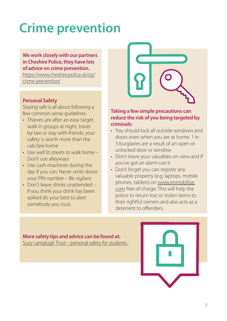# **Crime prevention**

**We work closely with our partners in Cheshire Police, they have lots of advice on crime prevention.** 

[https://www.cheshire.police.uk/cp/](https://www.cheshire.police.uk/cp/crime-prevention/) [crime-prevention/](https://www.cheshire.police.uk/cp/crime-prevention/)

#### **Personal Safety**

Staying safe is all about following a few common sense guidelines:

- Thieves are after an easy target, walk in groups at night, travel by taxi or stay with friends, your safety is worth more than the cab fare home
- Use well lit streets to walk home Don't use alleyways
- Use cash machines during the day if you can. Never write down your PIN number – Be vigilant
- Don't leave drinks unattended if you think your drink has been spiked do your best to alert somebody you trust.



#### **Taking a few simple precautions can reduce the risk of you being targeted by criminals:**

- You should lock all outside windows and doors even when you are at home. 1 in 3 burglaries are a result of an open or unlocked door or window
- Don't leave your valuables on view and if you've got an alarm use it
- Don't forget you can register any valuable property (e.g. laptops, mobile phones, tablets) on [www.immobilise.](http://www.immobilise.com) [com](http://www.immobilise.com) free of charge. This will help the police to return lost or stolen items to their rightful owners and also acts as a deterrent to offenders.

### **More safety tips and advice can be found at:**

[Suzy Lamplugh Trust – personal safety for students.](https://www.suzylamplugh.org/students-and-personal-safety) 

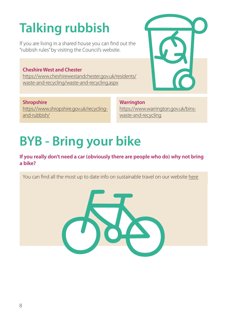# **Talking rubbish**

If you are living in a shared house you can find out the "rubbish rules" by visiting the Council's website.

### **Cheshire West and Chester**

[https://www.cheshirewestandchester.gov.uk/residents/](https://www.cheshirewestandchester.gov.uk/residents/waste-and-recycling/waste-and-recycling.aspx) [waste-and-recycling/waste-and-recycling.aspx](https://www.cheshirewestandchester.gov.uk/residents/waste-and-recycling/waste-and-recycling.aspx)

### **Shropshire**

[https://www.shropshire.gov.uk/recycling](https://www.shropshire.gov.uk/recycling-and-rubbish/)[and-rubbish/](https://www.shropshire.gov.uk/recycling-and-rubbish/)

**Warrington** [https://www.warrington.gov.uk/bins](https://www.warrington.gov.uk/bins-waste-and-recycling)[waste-and-recycling](https://www.warrington.gov.uk/bins-waste-and-recycling)

### **BYB - Bring your bike**

#### **If you really don't need a car (obviously there are people who do) why not bring a bike?**

You can find all the most up to date info on sustainable travel on our website [here](https://www1.chester.ac.uk/sustainability/about/campus/travel-and-transport)



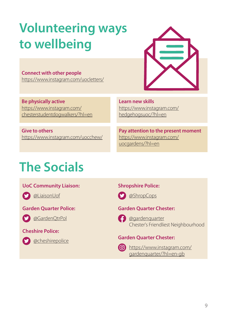# **Volunteering ways to wellbeing**

**Connect with other people** <https://www.instagram.com/uocletters/>

**Be physically active** [https://www.instagram.com/](https://www.instagram.com/chesterstudentdogwalkers/?hl=en) [chesterstudentdogwalkers/?hl=en](https://www.instagram.com/chesterstudentdogwalkers/?hl=en)

**Give to others** <https://www.instagram.com/uocchew/>

### **The Socials**

#### **UoC Community Liaison:**



**C** [@LiaisonUof](https://twitter.com/liaisonuof?lang=en)

#### **Garden Quarter Police:**



**C** [@GardenQtrPol](https://twitter.com/gardenqtrpol?lang=en)

### **Cheshire Police:**



**C** [@cheshirepolice](https://twitter.com/i/lists/45146746)

### **Shropshire Police:**



### **Garden Quarter Chester:**



**C** [@gardenquarter](https://www.facebook.com/gardenquarter/) Chester's Friendliest Neighbourhood

### **Garden Quarter Chester:**



[https://www.instagram.com/](https://www.instagram.com/gardenquarter/?hl=en-gb) [gardenquarter/?hl=en-gb](https://www.instagram.com/gardenquarter/?hl=en-gb)

**Learn new skills** [https://www.instagram.com/](https://www.instagram.com/hedgehogsuoc/?hl=en) [hedgehogsuoc/?hl=en](https://www.instagram.com/hedgehogsuoc/?hl=en)

**Pay attention to the present moment** [https://www.instagram.com/](https://www.instagram.com/uocgardens/?hl=en) [uocgardens/?hl=en](https://www.instagram.com/uocgardens/?hl=en)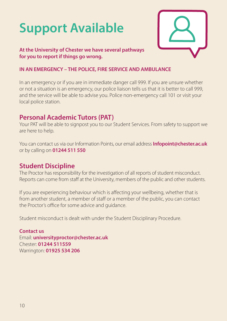# **Support Available**



#### **At the University of Chester we have several pathways for you to report if things go wrong.**

#### **IN AN EMERGENCY – THE POLICE, FIRE SERVICE AND AMBULANCE**

In an emergency or if you are in immediate danger call 999. If you are unsure whether or not a situation is an emergency, our police liaison tells us that it is better to call 999, and the service will be able to advise you. Police non-emergency call 101 or visit your local police station.

### **Personal Academic Tutors (PAT)**

Your PAT will be able to signpost you to our Student Services. From safety to support we are here to help.

You can contact us via our Information Points, our email address **Infopoint@chester.ac.uk** or by calling on **01244 511 550**

### **Student Discipline**

The Proctor has responsibility for the investigation of all reports of student misconduct. Reports can come from staff at the University, members of the public and other students.

If you are experiencing behaviour which is affecting your wellbeing, whether that is from another student, a member of staff or a member of the public, you can contact the Proctor's office for some advice and guidance.

Student misconduct is dealt with under the Student Disciplinary Procedure.

**Contact us** Email: **universityproctor@chester.ac.uk** Chester: **01244 511559** Warrington: **01925 534 206**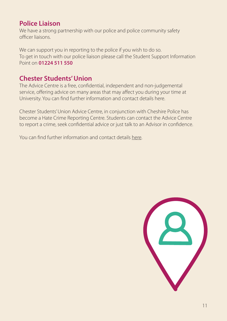### **Police Liaison**

We have a strong partnership with our police and police community safety officer liaisons.

We can support you in reporting to the police if you wish to do so. To get in touch with our police liaison please call the Student Support Information Point on **01224 511 550**

### **Chester Students' Union**

The Advice Centre is a free, confidential, independent and non-judgemental service, offering advice on many areas that may affect you during your time at University. You can find further information and contact details here.

Chester Students' Union Advice Centre, in conjunction with Cheshire Police has become a Hate Crime Reporting Centre. Students can contact the Advice Centre to report a crime, seek confidential advice or just talk to an Advisor in confidence.

You can find further information and contact details [here](https://www.chestersu.com/advice/report-support/make-a-report).